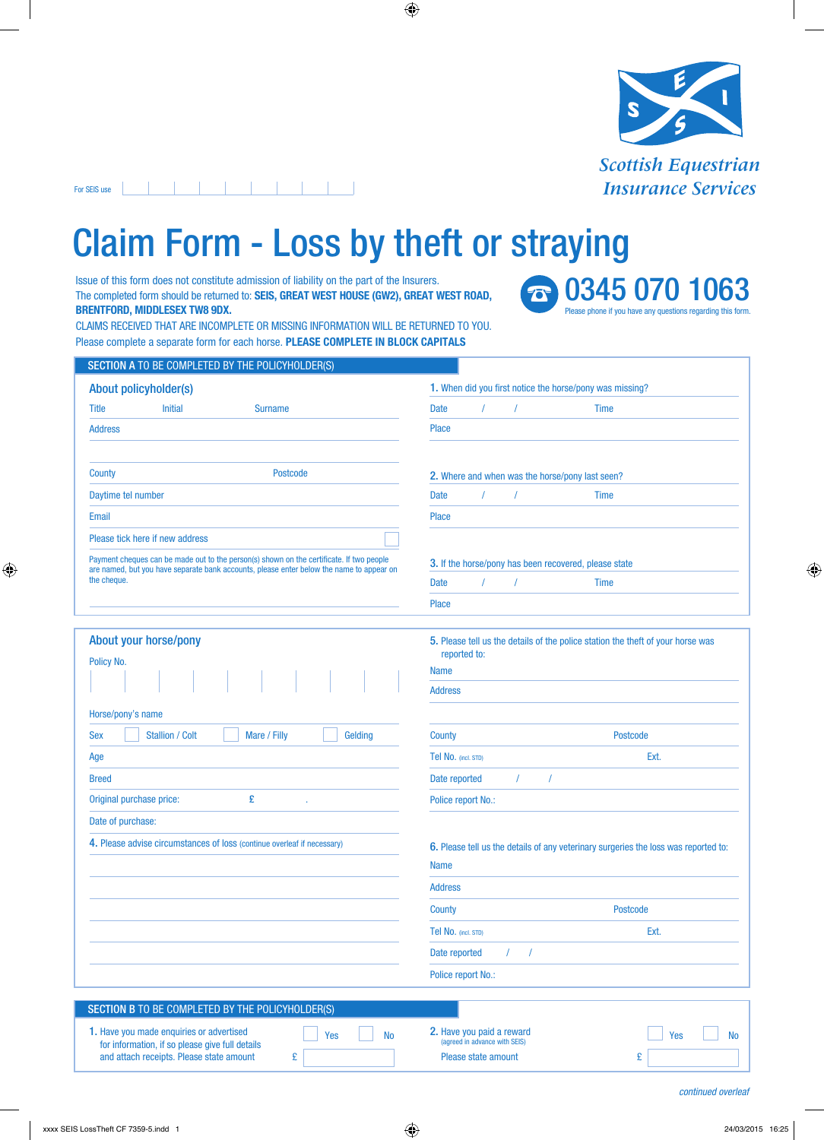

## . . . . . . . . . . . For SEIS use

and attach receipts. Please state amount  $E$ 

## Claim Form - Loss by theft or straying

Issue of this form does not constitute admission of liability on the part of the Insurers. The completed form should be returned to: **SEIS, GREAT WEST HOUSE (GW2), GREAT WEST ROAD, BRENTFORD, MIDDLESEX TW8 9DX.**

**30345 070 1063** Please phone if you have any questions regarding this form.

CLAIMS RECEIVED THAT ARE INCOMPLETE OR MISSING INFORMATION WILL BE RETURNED TO YOU. Please complete a separate form for each horse. **PLEASE COMPLETE IN BLOCK CAPITALS**

| About policyholder(s)                                                                                   | 1. When did you first notice the horse/pony was missing?                                           |      |
|---------------------------------------------------------------------------------------------------------|----------------------------------------------------------------------------------------------------|------|
| <b>Title</b><br><b>Initial</b><br><b>Surname</b>                                                        | <b>Date</b><br><b>Time</b><br>$\prime$                                                             |      |
| <b>Address</b>                                                                                          | <b>Place</b>                                                                                       |      |
| <b>Postcode</b><br>County                                                                               | 2. Where and when was the horse/pony last seen?                                                    |      |
| Daytime tel number                                                                                      | $\prime$<br>$\prime$<br><b>Time</b><br>Date                                                        |      |
| Email                                                                                                   | <b>Place</b>                                                                                       |      |
| Please tick here if new address                                                                         |                                                                                                    |      |
| Payment cheques can be made out to the person(s) shown on the certificate. If two people                | 3. If the horse/pony has been recovered, please state                                              |      |
| are named, but you have separate bank accounts, please enter below the name to appear on<br>the cheque. | $\prime$<br>Date<br><b>Time</b>                                                                    |      |
|                                                                                                         | <b>Place</b>                                                                                       |      |
|                                                                                                         |                                                                                                    |      |
| About your horse/pony                                                                                   | 5. Please tell us the details of the police station the theft of your horse was                    |      |
| Policy No.                                                                                              | reported to:<br><b>Name</b>                                                                        |      |
|                                                                                                         | <b>Address</b>                                                                                     |      |
| Horse/pony's name                                                                                       |                                                                                                    |      |
| <b>Stallion / Colt</b><br>Gelding<br>Mare / Filly<br><b>Sex</b>                                         | <b>Postcode</b><br>County                                                                          |      |
| Age                                                                                                     | Tel No. (incl. STD)                                                                                | Ext. |
| <b>Breed</b>                                                                                            | Date reported<br>$\prime$<br>$\prime$                                                              |      |
| £<br>Original purchase price:                                                                           | Police report No.:                                                                                 |      |
| Date of purchase:                                                                                       |                                                                                                    |      |
| 4. Please advise circumstances of loss (continue overleaf if necessary)                                 | 6. Please tell us the details of any veterinary surgeries the loss was reported to:<br><b>Name</b> |      |
|                                                                                                         | <b>Address</b>                                                                                     |      |
|                                                                                                         | <b>Postcode</b><br>County                                                                          |      |
|                                                                                                         | Tel No. (incl. STD)                                                                                | Ext. |
|                                                                                                         | Date reported<br>$\prime$                                                                          |      |
|                                                                                                         | Police report No.:                                                                                 |      |
|                                                                                                         |                                                                                                    |      |
| SECTION B TO BE COMPLETED BY THE POLICYHOLDER(S)                                                        |                                                                                                    |      |
|                                                                                                         |                                                                                                    |      |

Please state amount E